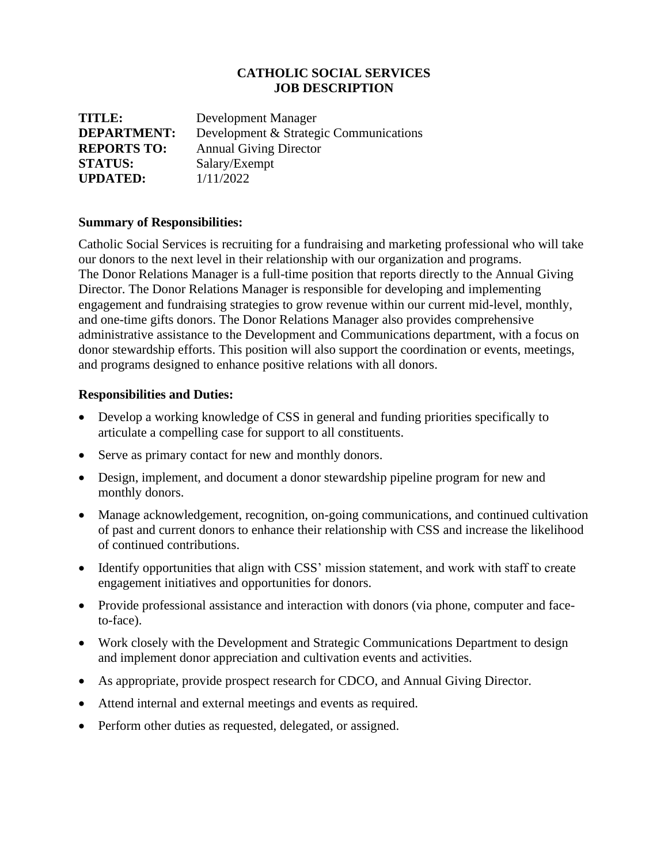### **CATHOLIC SOCIAL SERVICES JOB DESCRIPTION**

| TITLE:             | Development Manager                    |
|--------------------|----------------------------------------|
| <b>DEPARTMENT:</b> | Development & Strategic Communications |
| <b>REPORTS TO:</b> | <b>Annual Giving Director</b>          |
| <b>STATUS:</b>     | Salary/Exempt                          |
| <b>UPDATED:</b>    | 1/11/2022                              |

#### **Summary of Responsibilities:**

Catholic Social Services is recruiting for a fundraising and marketing professional who will take our donors to the next level in their relationship with our organization and programs. The Donor Relations Manager is a full-time position that reports directly to the Annual Giving Director. The Donor Relations Manager is responsible for developing and implementing engagement and fundraising strategies to grow revenue within our current mid-level, monthly, and one-time gifts donors. The Donor Relations Manager also provides comprehensive administrative assistance to the Development and Communications department, with a focus on donor stewardship efforts. This position will also support the coordination or events, meetings, and programs designed to enhance positive relations with all donors.

#### **Responsibilities and Duties:**

- Develop a working knowledge of CSS in general and funding priorities specifically to articulate a compelling case for support to all constituents.
- Serve as primary contact for new and monthly donors.
- Design, implement, and document a donor stewardship pipeline program for new and monthly donors.
- Manage acknowledgement, recognition, on-going communications, and continued cultivation of past and current donors to enhance their relationship with CSS and increase the likelihood of continued contributions.
- Identify opportunities that align with CSS' mission statement, and work with staff to create engagement initiatives and opportunities for donors.
- Provide professional assistance and interaction with donors (via phone, computer and faceto-face).
- Work closely with the Development and Strategic Communications Department to design and implement donor appreciation and cultivation events and activities.
- As appropriate, provide prospect research for CDCO, and Annual Giving Director.
- Attend internal and external meetings and events as required.
- Perform other duties as requested, delegated, or assigned.